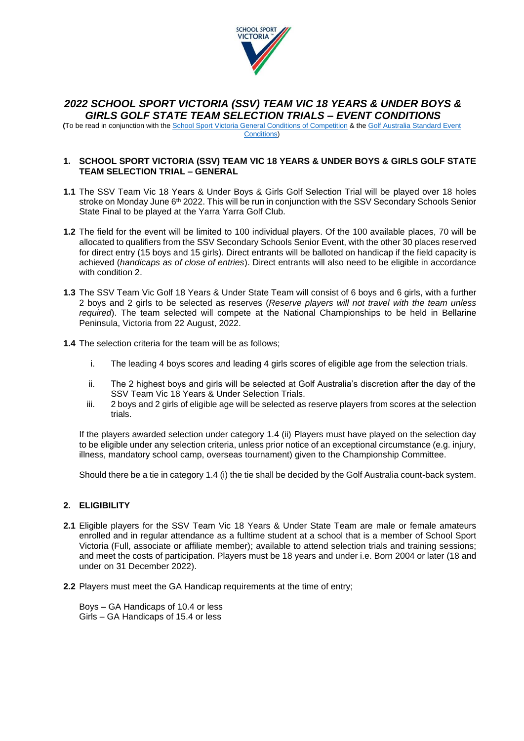

# *2022 SCHOOL SPORT VICTORIA (SSV) TEAM VIC 18 YEARS & UNDER BOYS & GIRLS GOLF STATE TEAM SELECTION TRIALS – EVENT CONDITIONS*

**(**To be read in conjunction with the [School Sport Victoria General Conditions of Competition](https://www.ssv.vic.edu.au/Downloads%20Library/General%20Conditions%20of%20Competition.pdf) & the Golf Australia [Standard Event](https://cms.ga.mpower.golf/site/_content/document/00043951-source.pdf)  [Conditions\)](https://cms.ga.mpower.golf/site/_content/document/00043951-source.pdf)

### **1. SCHOOL SPORT VICTORIA (SSV) TEAM VIC 18 YEARS & UNDER BOYS & GIRLS GOLF STATE TEAM SELECTION TRIAL – GENERAL**

- **1.1** The SSV Team Vic 18 Years & Under Boys & Girls Golf Selection Trial will be played over 18 holes stroke on Monday June 6<sup>th</sup> 2022. This will be run in conjunction with the SSV Secondary Schools Senior State Final to be played at the Yarra Yarra Golf Club.
- **1.2** The field for the event will be limited to 100 individual players. Of the 100 available places, 70 will be allocated to qualifiers from the SSV Secondary Schools Senior Event, with the other 30 places reserved for direct entry (15 boys and 15 girls). Direct entrants will be balloted on handicap if the field capacity is achieved (*handicaps as of close of entries*). Direct entrants will also need to be eligible in accordance with condition 2.
- **1.3** The SSV Team Vic Golf 18 Years & Under State Team will consist of 6 boys and 6 girls, with a further 2 boys and 2 girls to be selected as reserves (*Reserve players will not travel with the team unless required*). The team selected will compete at the National Championships to be held in Bellarine Peninsula, Victoria from 22 August, 2022.
- **1.4** The selection criteria for the team will be as follows;
	- i. The leading 4 boys scores and leading 4 girls scores of eligible age from the selection trials.
	- ii. The 2 highest boys and girls will be selected at Golf Australia's discretion after the day of the SSV Team Vic 18 Years & Under Selection Trials.
	- iii. 2 boys and 2 girls of eligible age will be selected as reserve players from scores at the selection trials.

If the players awarded selection under category 1.4 (ii) Players must have played on the selection day to be eligible under any selection criteria, unless prior notice of an exceptional circumstance (e.g. injury, illness, mandatory school camp, overseas tournament) given to the Championship Committee.

Should there be a tie in category 1.4 (i) the tie shall be decided by the Golf Australia count-back system.

# **2. ELIGIBILITY**

- **2.1** Eligible players for the SSV Team Vic 18 Years & Under State Team are male or female amateurs enrolled and in regular attendance as a fulltime student at a school that is a member of School Sport Victoria (Full, associate or affiliate member); available to attend selection trials and training sessions; and meet the costs of participation. Players must be 18 years and under i.e. Born 2004 or later (18 and under on 31 December 2022).
- **2.2** Players must meet the GA Handicap requirements at the time of entry;

Boys – GA Handicaps of 10.4 or less Girls – GA Handicaps of 15.4 or less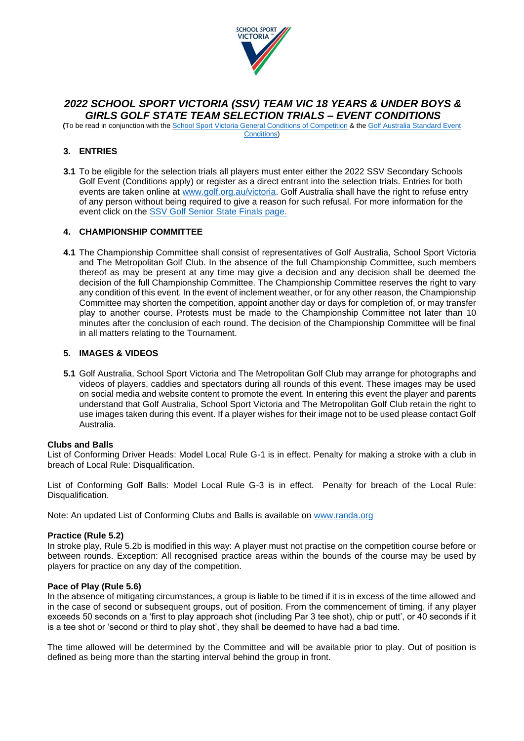

# *2022 SCHOOL SPORT VICTORIA (SSV) TEAM VIC 18 YEARS & UNDER BOYS & GIRLS GOLF STATE TEAM SELECTION TRIALS – EVENT CONDITIONS*

**(**To be read in conjunction with the [School Sport Victoria General Conditions of Competition](https://www.ssv.vic.edu.au/Downloads%20Library/General%20Conditions%20of%20Competition.pdf) & the Golf Australia [Standard Event](https://cms.ga.mpower.golf/site/_content/document/00043951-source.pdf)  [Conditions\)](https://cms.ga.mpower.golf/site/_content/document/00043951-source.pdf)

# **3. ENTRIES**

**3.1** To be eligible for the selection trials all players must enter either the 2022 SSV Secondary Schools Golf Event (Conditions apply) or register as a direct entrant into the selection trials. Entries for both events are taken online at [www.golf.org.au/victoria.](http://www.golf.org.au/victoria) Golf Australia shall have the right to refuse entry of any person without being required to give a reason for such refusal. For more information for the event click on the [SSV Golf Senior State Finals page.](https://www.ssv.vic.edu.au/state/events/pages/event.aspx?listID=%7ba7bbf073-ab7e-41f6-80f7-8a9f895842de%7d&ListItemID=77)

# **4. CHAMPIONSHIP COMMITTEE**

**4.1** The Championship Committee shall consist of representatives of Golf Australia, School Sport Victoria and The Metropolitan Golf Club. In the absence of the full Championship Committee, such members thereof as may be present at any time may give a decision and any decision shall be deemed the decision of the full Championship Committee. The Championship Committee reserves the right to vary any condition of this event. In the event of inclement weather, or for any other reason, the Championship Committee may shorten the competition, appoint another day or days for completion of, or may transfer play to another course. Protests must be made to the Championship Committee not later than 10 minutes after the conclusion of each round. The decision of the Championship Committee will be final in all matters relating to the Tournament.

# **5. IMAGES & VIDEOS**

**5.1** Golf Australia, School Sport Victoria and The Metropolitan Golf Club may arrange for photographs and videos of players, caddies and spectators during all rounds of this event. These images may be used on social media and website content to promote the event. In entering this event the player and parents understand that Golf Australia, School Sport Victoria and The Metropolitan Golf Club retain the right to use images taken during this event. If a player wishes for their image not to be used please contact Golf Australia.

#### **Clubs and Balls**

List of Conforming Driver Heads: Model Local Rule G-1 is in effect. Penalty for making a stroke with a club in breach of Local Rule: Disqualification.

List of Conforming Golf Balls: Model Local Rule G-3 is in effect. Penalty for breach of the Local Rule: Disqualification.

Note: An updated List of Conforming Clubs and Balls is available on [www.randa.org](http://www.randa.org/)

#### **Practice (Rule 5.2)**

In stroke play, Rule 5.2b is modified in this way: A player must not practise on the competition course before or between rounds. Exception: All recognised practice areas within the bounds of the course may be used by players for practice on any day of the competition.

#### **Pace of Play (Rule 5.6)**

In the absence of mitigating circumstances, a group is liable to be timed if it is in excess of the time allowed and in the case of second or subsequent groups, out of position. From the commencement of timing, if any player exceeds 50 seconds on a 'first to play approach shot (including Par 3 tee shot), chip or putt', or 40 seconds if it is a tee shot or 'second or third to play shot', they shall be deemed to have had a bad time.

The time allowed will be determined by the Committee and will be available prior to play. Out of position is defined as being more than the starting interval behind the group in front.